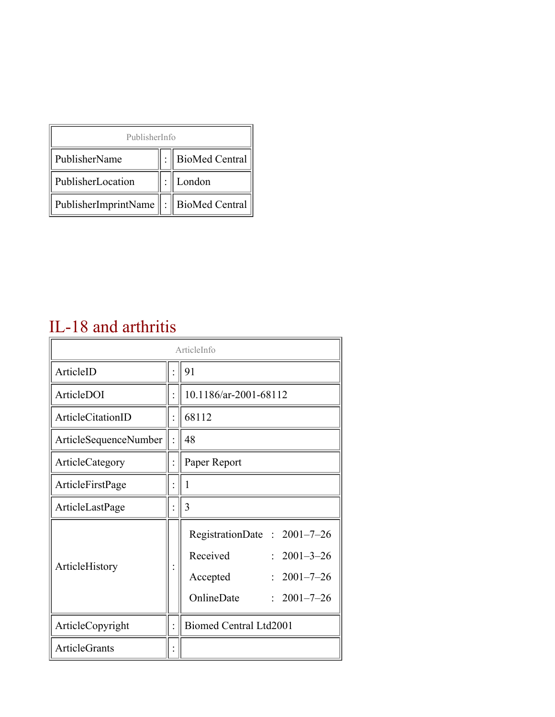| PublisherInfo                               |                |
|---------------------------------------------|----------------|
| PublisherName                               | BioMed Central |
| PublisherLocation                           | London         |
| PublisherImprintName    :    BioMed Central |                |

#### IL-18 and arthritis

|                       | ArticleInfo                                                                                                                  |
|-----------------------|------------------------------------------------------------------------------------------------------------------------------|
| ArticleID             | 91                                                                                                                           |
| ArticleDOI            | 10.1186/ar-2001-68112                                                                                                        |
| ArticleCitationID     | 68112                                                                                                                        |
| ArticleSequenceNumber | 48                                                                                                                           |
| ArticleCategory       | Paper Report                                                                                                                 |
| ArticleFirstPage      | 1                                                                                                                            |
| ArticleLastPage       | 3                                                                                                                            |
| ArticleHistory        | RegistrationDate: 2001-7-26<br>Received<br>$2001 - 3 - 26$<br>$2001 - 7 - 26$<br>Accepted<br>OnlineDate<br>$: 2001 - 7 - 26$ |
| ArticleCopyright      | Biomed Central Ltd2001                                                                                                       |
| <b>ArticleGrants</b>  |                                                                                                                              |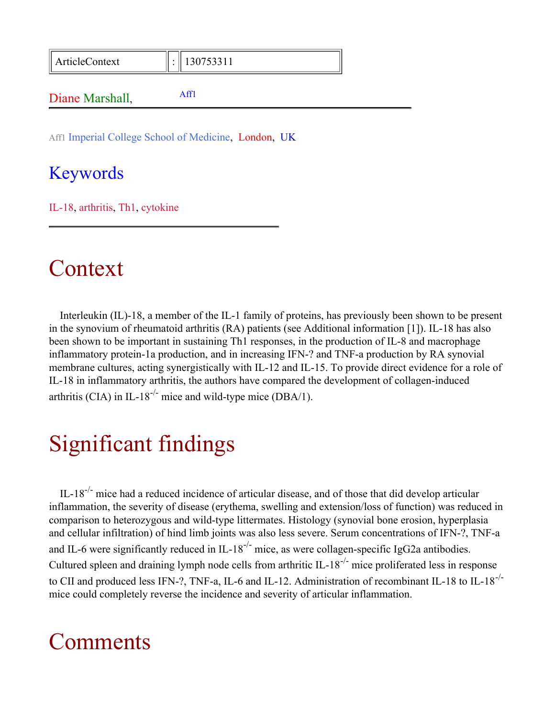| ArticleContext | $\parallel$ 130753311 |  |
|----------------|-----------------------|--|
| Diano Marchall |                       |  |

<span id="page-1-0"></span>Aff1 Imperial College School of Medicine, London, UK

#### Keywords

Diane Marshall,

IL-18, arthritis, Th1, cytokine

### Context

Interleukin (IL)-18, a member of the IL-1 family of proteins, has previously been shown to be present in the synovium of rheumatoid arthritis (RA) patients (see Additional information [1]). IL-18 has also been shown to be important in sustaining Th1 responses, in the production of IL-8 and macrophage inflammatory protein-1a production, and in increasing IFN-? and TNF-a production by RA synovial membrane cultures, acting synergistically with IL-12 and IL-15. To provide direct evidence for a role of IL-18 in inflammatory arthritis, the authors have compared the development of collagen-induced arthritis (CIA) in IL-18<sup>-/-</sup> mice and wild-type mice (DBA/1).

## Significant findings

IL-18<sup>-/-</sup> mice had a reduced incidence of articular disease, and of those that did develop articular inflammation, the severity of disease (erythema, swelling and extension/loss of function) was reduced in comparison to heterozygous and wild-type littermates. Histology (synovial bone erosion, hyperplasia and cellular infiltration) of hind limb joints was also less severe. Serum concentrations of IFN-?, TNF-a and IL-6 were significantly reduced in IL-18<sup>-/-</sup> mice, as were collagen-specific IgG2a antibodies. Cultured spleen and draining lymph node cells from arthritic IL-18-/- mice proliferated less in response to CII and produced less IFN-?, TNF-a, IL-6 and IL-12. Administration of recombinant IL-18 to IL-18<sup>-/-</sup> mice could completely reverse the incidence and severity of articular inflammation.

### **Comments**